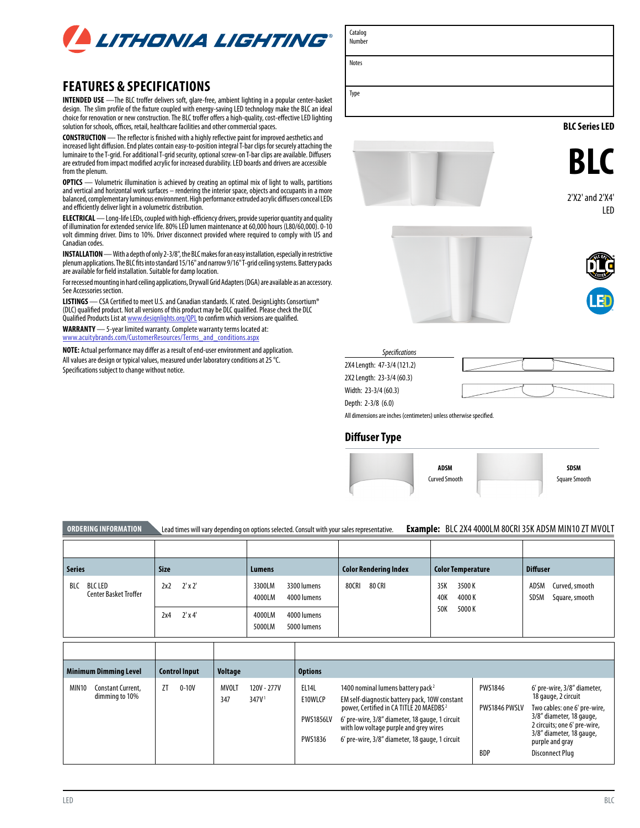

# **FEATURES & SPECIFICATIONS**

**INTENDED USE** —The BLC troffer delivers soft, glare-free, ambient lighting in a popular center-basket design. The slim profile of the fixture coupled with energy-saving LED technology make the BLC an ideal choice for renovation or new construction. The BLC troffer offers a high-quality, cost-effective LED lighting solution for schools, offices, retail, healthcare facilities and other commercial spaces.

**CONSTRUCTION** — The reflector is finished with a highly reflective paint for improved aesthetics and increased light diffusion. End plates contain easy-to-position integral T-bar clips for securely attaching the luminaire to the T-grid. For additional T-grid security, optional screw-on T-bar clips are available. Diffusers are extruded from impact modified acrylic for increased durability. LED boards and drivers are accessible from the plenum.

**OPTICS** — Volumetric illumination is achieved by creating an optimal mix of light to walls, partitions and vertical and horizontal work surfaces – rendering the interior space, objects and occupants in a more balanced, complementary luminous environment. High performance extruded acrylic diffusers conceal LEDs and efficiently deliver light in a volumetric distribution.

**ELECTRICAL** — Long-life LEDs, coupled with high-efficiency drivers, provide superior quantity and quality of illumination for extended service life. 80% LED lumen maintenance at 60,000 hours (L80/60,000). 0-10 volt dimming driver. Dims to 10%. Driver disconnect provided where required to comply with US and Canadian codes.

**INSTALLATION** — With a depth of only 2-3/8", the BLC makes for an easy installation, especially in restrictive plenum applications. The BLC fits into standard 15/16" and narrow 9/16" T-grid ceiling systems. Battery packs are available for field installation. Suitable for damp location.

For recessed mounting in hard ceiling applications, Drywall Grid Adapters (DGA) are available as an accessory. See Accessories section.

**LISTINGS** — CSA Certified to meet U.S. and Canadian standards. IC rated. DesignLights Consortium<sup>®</sup> (DLC) qualified product. Not all versions of this product may be DLC qualified. Please check the DLC Qualified Products List at <u>[www.designlights.org/QPL](http://www.designlights.org/QPL)</u> to confirm which versions are qualified.

**WARRANTY** — 5-year limited warranty. Complete warranty terms located at: [www.acuitybrands.com/CustomerResources/Terms\\_and\\_conditions.aspx](http://www.acuitybrands.com/CustomerResources/Terms_and_conditions.aspx)

**NOTE:** Actual performance may differ as a result of end-user environment and application. All values are design or typical values, measured under laboratory conditions at 25 °C. Specifications subject to change without notice.



2X4 Length: 47-3/4 (121.2) 2X2 Length: 23-3/4 (60.3)

Width: 23-3/4 (60.3)

Depth: 2-3/8 (6.0)

Catalog Number

Notes

All dimensions are inches (centimeters) unless otherwise specified.

### **Diffuser Type**



Square Smooth

| <b>ORDERING INFORMATION</b>                    |                       | Lead times will vary depending on options selected. Consult with your sales representative. |                              | <b>Example: BLC 2X4 4000LM 80CRI 35K ADSM MIN10 ZT MVOLT</b> |                                                         |  |  |  |  |  |  |
|------------------------------------------------|-----------------------|---------------------------------------------------------------------------------------------|------------------------------|--------------------------------------------------------------|---------------------------------------------------------|--|--|--|--|--|--|
|                                                |                       |                                                                                             |                              |                                                              |                                                         |  |  |  |  |  |  |
| <b>Series</b>                                  | <b>Size</b>           | Lumens                                                                                      | <b>Color Rendering Index</b> | <b>Color Temperature</b>                                     | <b>Diffuser</b>                                         |  |  |  |  |  |  |
| BLC LED<br>BLC<br><b>Center Basket Troffer</b> | $2' \times 2'$<br>2x2 | 3300 lumens<br>3300LM<br>4000LM<br>4000 lumens                                              | 80CRI<br>80 CRI              | 35K<br>3500K<br>40K<br>4000 K                                | ADSM<br>Curved, smooth<br><b>SDSM</b><br>Square, smooth |  |  |  |  |  |  |
|                                                | $2' \times 4'$<br>2x4 | 4000LM<br>4000 lumens<br>5000LM<br>5000 lumens                                              |                              | 50K<br>5000K                                                 |                                                         |  |  |  |  |  |  |
|                                                |                       |                                                                                             |                              |                                                              |                                                         |  |  |  |  |  |  |

|                   | <b>Minimum Dimming Level</b>        |    | <b>Control Input</b> | <b>Voltage</b> |                                  | <b>Options</b>                                         |                                                                                                                                                                                                                                                                                                       |                                               |                                                                                                                                                                                                                  |
|-------------------|-------------------------------------|----|----------------------|----------------|----------------------------------|--------------------------------------------------------|-------------------------------------------------------------------------------------------------------------------------------------------------------------------------------------------------------------------------------------------------------------------------------------------------------|-----------------------------------------------|------------------------------------------------------------------------------------------------------------------------------------------------------------------------------------------------------------------|
| MIN <sub>10</sub> | Constant Current.<br>dimming to 10% | ΖT | $0 - 10V$            | MVOLT<br>347   | 120V - 277V<br>347V <sup>1</sup> | <b>EL14L</b><br>E10WLCP<br><b>PWS1856LV</b><br>PWS1836 | 1400 nominal lumens battery pack <sup>2</sup><br>EM self-diagnostic battery pack, 10W constant<br>power, Certified in CA TITLE 20 MAEDBS <sup>2</sup><br>6' pre-wire, 3/8" diameter, 18 gauge, 1 circuit<br>with low voltage purple and grey wires<br>6' pre-wire, 3/8" diameter, 18 gauge, 1 circuit | <b>PWS1846</b><br>PWS1846 PWSLV<br><b>BDP</b> | 6' pre-wire, 3/8" diameter,<br>18 gauge, 2 circuit<br>Two cables: one 6' pre-wire,<br>3/8" diameter, 18 gauge,<br>2 circuits; one 6' pre-wire,<br>3/8" diameter, 18 gauge,<br>purple and gray<br>Disconnect Plug |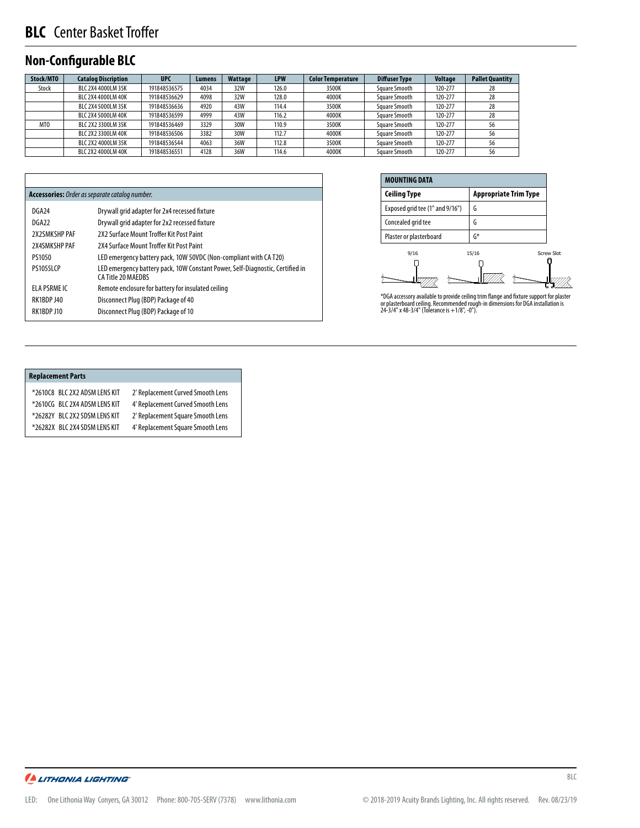# **BLC** Center Basket Troffer

## **Non-Configurable BLC**

| Stock/MTO       | <b>Catalog Discription</b> | <b>UPC</b>   | Lumens | Wattage | <b>LPW</b> | <b>Color Temperature</b> | <b>Diffuser Type</b> | <b>Voltage</b> | <b>Pallet Quantity</b> |
|-----------------|----------------------------|--------------|--------|---------|------------|--------------------------|----------------------|----------------|------------------------|
| Stock           | BLC 2X4 4000LM 35K         | 191848536575 | 4034   | 32W     | 126.0      | 3500K                    | Square Smooth        | 120-277        | 28                     |
|                 | BLC 2X4 4000LM 40K         | 191848536629 | 4098   | 32W     | 128.0      | 4000K                    | Square Smooth        | 120-277        | 28                     |
|                 | BLC 2X4 5000LM 35K         | 191848536636 | 4920   | 43W     | 114.4      | 3500K                    | Square Smooth        | 120-277        | 28                     |
|                 | BLC 2X4 5000LM 40K         | 191848536599 | 4999   | 43W     | 116.2      | 4000K                    | Square Smooth        | 120-277        | 28                     |
| MT <sub>0</sub> | BLC 2X2 3300LM 35K         | 191848536469 | 3329   | 30W     | 110.9      | 3500K                    | Square Smooth        | 120-277        | 56                     |
|                 | BLC 2X2 3300LM 40K         | 191848536506 | 3382   | 30W     | 112.7      | 4000K                    | Square Smooth        | 120-277        | 56                     |
|                 | BLC 2X2 4000LM 35K         | 191848536544 | 4063   | 36W     | 112.8      | 3500K                    | Square Smooth        | 120-277        | 56                     |
|                 | BLC 2X2 4000LM 40K         | 191848536551 | 4128   | 36W     | 114.6      | 4000K                    | Square Smooth        | 120-277        | 56                     |

| Accessories: Order as separate catalog number. |                                                                                                     |
|------------------------------------------------|-----------------------------------------------------------------------------------------------------|
| DGA24                                          | Drywall grid adapter for 2x4 recessed fixture                                                       |
| DGA22                                          | Drywall grid adapter for 2x2 recessed fixture                                                       |
| 2X2SMKSHP PAF                                  | 2X2 Surface Mount Troffer Kit Post Paint                                                            |
| 2X4SMKSHP PAF                                  | 2X4 Surface Mount Troffer Kit Post Paint                                                            |
| PS1050                                         | LED emergency battery pack, 10W 50VDC (Non-compliant with CA T20)                                   |
| <b>PS10551CP</b>                               | LED emergency battery pack, 10W Constant Power, Self-Diagnostic, Certified in<br>CA Title 20 MAFDBS |
| ELA PSRME IC                                   | Remote enclosure for battery for insulated ceiling                                                  |
| RK1BDP J40                                     | Disconnect Plug (BDP) Package of 40                                                                 |
| RK1BDP J10                                     | Disconnect Plug (BDP) Package of 10                                                                 |
|                                                |                                                                                                     |

| <b>MOUNTING DATA</b>            |                                                                                                                                                                                                                                                              |  |  |  |  |  |  |  |  |  |  |
|---------------------------------|--------------------------------------------------------------------------------------------------------------------------------------------------------------------------------------------------------------------------------------------------------------|--|--|--|--|--|--|--|--|--|--|
| <b>Ceiling Type</b>             | <b>Appropriate Trim Type</b>                                                                                                                                                                                                                                 |  |  |  |  |  |  |  |  |  |  |
| Exposed grid tee (1" and 9/16") | G                                                                                                                                                                                                                                                            |  |  |  |  |  |  |  |  |  |  |
| Concealed grid tee              | G                                                                                                                                                                                                                                                            |  |  |  |  |  |  |  |  |  |  |
| Plaster or plasterboard         | G*                                                                                                                                                                                                                                                           |  |  |  |  |  |  |  |  |  |  |
| 9/16                            | 15/16<br><b>Screw Slot</b><br>e de la construcción de la construcción de la construcción de la construcción de la construcción de la construcción de la construcción de la construcción de la construcción de la construcción de la construcción de la const |  |  |  |  |  |  |  |  |  |  |

 $\Box$  $\hat{z}$  $\mathbb{E}_{\mathbb{Z}}$ Ź

\*DGA accessory available to provide ceiling trim flange and fixture support for plaster or plasterboard ceiling. Recommended rough-in dimensions for DGA installation is 24-3/4" x 48-3/4" (Tolerance is +1/8", -0").

### **Replacement Parts**

| *2610C8 BLC 2X2 ADSM LENS KIT | 2' Replacement Curved Smooth Lens |
|-------------------------------|-----------------------------------|
| *2610CG BLC 2X4 ADSM LENS KIT | 4' Replacement Curved Smooth Lens |
| *26282Y BLC 2X2 SDSM LENS KIT | 2' Replacement Square Smooth Lens |
| *26282X BLC 2X4 SDSM LENS KIT | 4' Replacement Square Smooth Lens |
|                               |                                   |